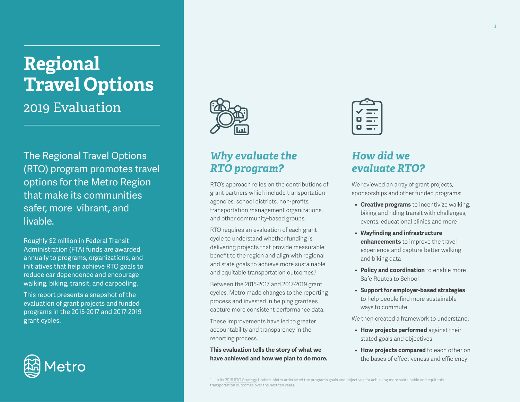# **Regional Travel Options**  2019 Evaluation

The Regional Travel Options (RTO) program promotes travel options for the Metro Region that make its communities safer, more vibrant, and livable.

Roughly \$2 million in Federal Transit Administration (FTA) funds are awarded annually to programs, organizations, and initiatives that help achieve RTO goals to reduce car dependence and encourage walking, biking, transit, and carpooling.

This report presents a snapshot of the evaluation of grant projects and funded programs in the 2015-2017 and 2017-2019 grant cycles.





## *Why evaluate the RTO program?*

RTO's approach relies on the contributions of grant partners which include transportation agencies, school districts, non-profits, transportation management organizations, and other community-based groups.

RTO requires an evaluation of each grant cycle to understand whether funding is delivering projects that provide measurable benefit to the region and align with regional and state goals to achieve more sustainable and equitable transportation outcomes.<sup>1</sup>

Between the 2015-2017 and 2017-2019 grant cycles, Metro made changes to the reporting process and invested in helping grantees capture more consistent performance data.

These improvements have led to greater accountability and transparency in the reporting process.

**This evaluation tells the story of what we have achieved and how we plan to do more.**



# *How did we evaluate RTO?*

We reviewed an array of grant projects, sponsorships and other funded programs:

- **• Creative programs** to incentivize walking, biking and riding transit with challenges, events, educational clinics and more
- **• Wayfinding and infrastructure enhancements** to improve the travel experience and capture better walking and biking data
- **• Policy and coordination** to enable more Safe Routes to School
- **• Support for employer-based strategies** to help people find more sustainable ways to commute

We then created a framework to understand:

- **• How projects performed** against their stated goals and objectives
- **• How projects compared** to each other on the bases of effectiveness and efficiency

<sup>1</sup> In its 2018 RTO Strategy Update, Metro articulated the program's goals and objectives for achieving more sustainable and equitable transportation outcomes over the next ten years.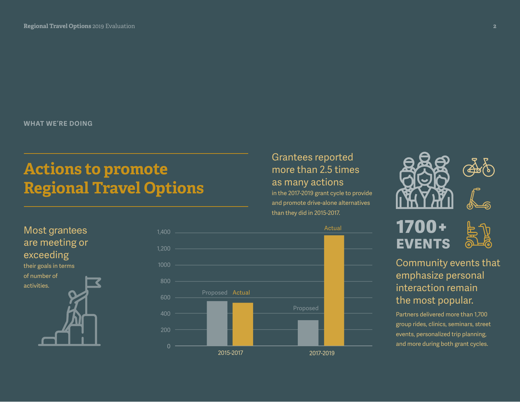**WHAT WE'RE DOING**

# **Actions to promote Regional Travel Options**





## Grantees reported more than 2.5 times as many actions

in the 2017-2019 grant cycle to provide and promote drive-alone alternatives than they did in 2015-2017.





Community events that

#### emphasize personal interaction remain the most popular.

Partners delivered more than 1,700 group rides, clinics, seminars, street events, personalized trip planning, and more during both grant cycles.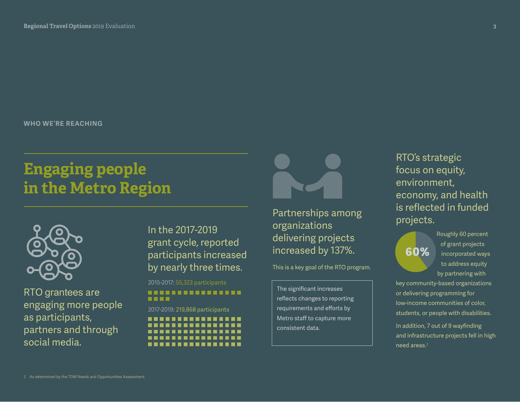**WHO WE'RE REACHING**

# **Engaging people in the Metro Region**



RTO grantees are engaging more people as participants, partners and through social media.

In the 2017-2019 grant cycle, reported participants increased by nearly three times.

2015-2017: 55,323 participants

#### --------------------

2017-2019: 219,868 participants

................



Partnerships among organizations delivering projects increased by 137%.

This is a key goal of the RTO program.

The significant increases reflects changes to reporting requirements and efforts by Metro staff to capture more consistent data.

RTO's strategic focus on equity, environment, economy, and health is reflected in funded projects.



Roughly 60 percent of grant projects incorporated ways to address equity by partnering with

key community-based organizations or delivering programming for low-income communities of color, students, or people with disabilities.

In addition, 7 out of 9 wayfinding and infrastructure projects fell in high need areas.<sup>2</sup>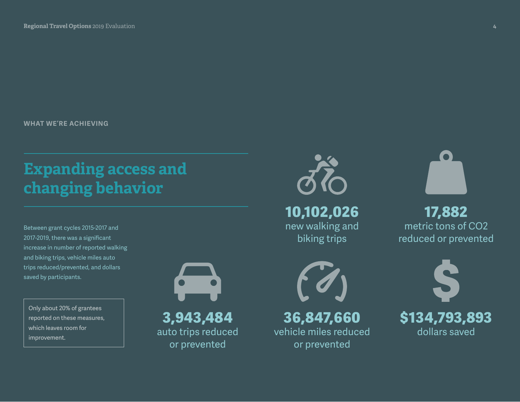**WHAT WE'RE ACHIEVING**

# **Expanding access and changing behavior**

Between grant cycles 2015-2017 and 2017-2019, there was a significant increase in number of reported walking and biking trips, vehicle miles auto trips reduced/prevented, and dollars saved by participants.

Only about 20% of grantees reported on these measures, which leaves room for improvement.

**3,943,484**

auto trips reduced or prevented



**10,102,026** new walking and biking trips



**36,847,660** vehicle miles reduced or prevented



**17,882** metric tons of CO2 reduced or prevented